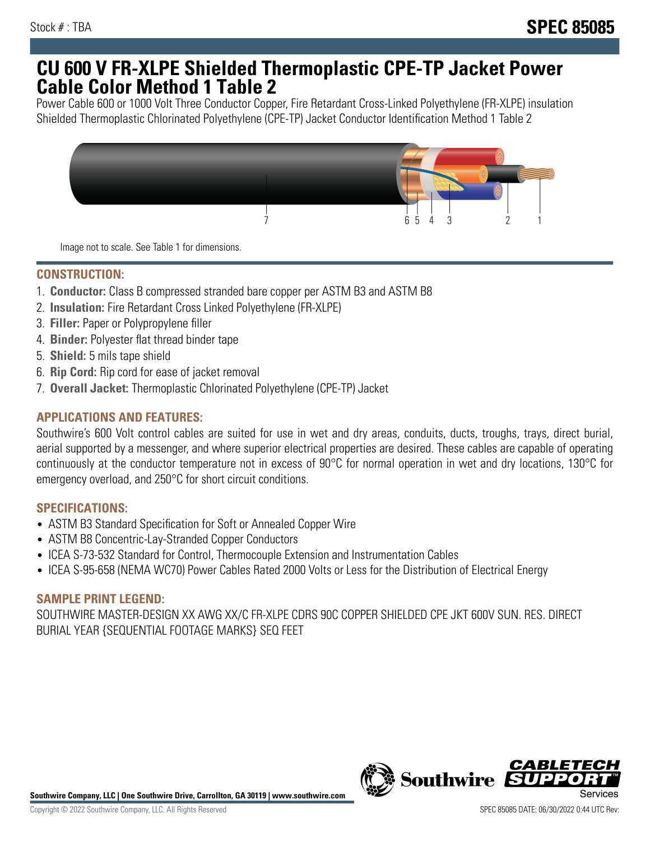## **CU 600 V FR-XLPE Shielded Thermoplastic CPE-TP Jacket Power Cable Color Method 1 Table 2**

Power Cable 600 or 1000 Volt Three Conductor Copper, Fire Retardant Cross-Linked Polyethylene (FR-XLPE) insulation Shielded Thermoplastic Chlorinated Polyethylene (CPE-TP) Jacket Conductor Identification Method 1 Table 2



Image not to scale. See Table 1 for dimensions.

## **CONSTRUCTION:**

- 1. **Conductor:** Class B compressed stranded bare copper per ASTM B3 and ASTM B8
- 2. **Insulation:** Fire Retardant Cross Linked Polyethylene (FR-XLPE)
- 3. **Filler:** Paper or Polypropylene filler
- 4. **Binder:** Polyester flat thread binder tape
- 5. **Shield:** 5 mils tape shield
- 6. **Rip Cord:** Rip cord for ease of jacket removal
- 7. **Overall Jacket:** Thermoplastic Chlorinated Polyethylene (CPE-TP) Jacket

### **APPLICATIONS AND FEATURES:**

Southwire's 600 Volt control cables are suited for use in wet and dry areas, conduits, ducts, troughs, trays, direct burial, aerial supported by a messenger, and where superior electrical properties are desired. These cables are capable of operating continuously at the conductor temperature not in excess of 90°C for normal operation in wet and dry locations, 130°C for emergency overload, and 250°C for short circuit conditions.

#### **SPECIFICATIONS:**

- ASTM B3 Standard Specification for Soft or Annealed Copper Wire
- ASTM B8 Concentric-Lay-Stranded Copper Conductors
- ICEA S-73-532 Standard for Control, Thermocouple Extension and Instrumentation Cables
- ICEA S-95-658 (NEMA WC70) Power Cables Rated 2000 Volts or Less for the Distribution of Electrical Energy

#### **SAMPLE PRINT LEGEND:**

SOUTHWIRE MASTER-DESIGN XX AWG XX/C FR-XLPE CDRS 90C COPPER SHIELDED CPE JKT 600V SUN. RES. DIRECT BURIAL YEAR {SEQUENTIAL FOOTAGE MARKS} SEQ FEET